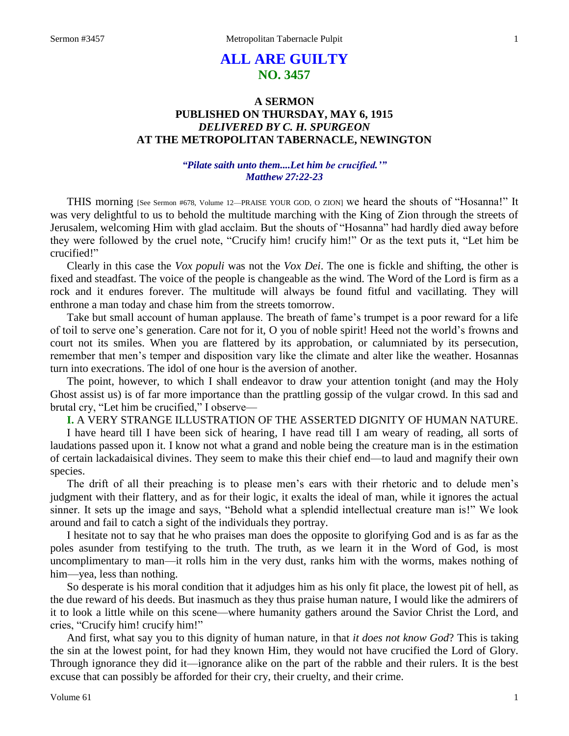# **ALL ARE GUILTY NO. 3457**

# **A SERMON PUBLISHED ON THURSDAY, MAY 6, 1915** *DELIVERED BY C. H. SPURGEON* **AT THE METROPOLITAN TABERNACLE, NEWINGTON**

### *"Pilate saith unto them....Let him be crucified.'" Matthew 27:22-23*

THIS morning [See Sermon #678, Volume 12—PRAISE YOUR GOD, O ZION] we heard the shouts of "Hosanna!" It was very delightful to us to behold the multitude marching with the King of Zion through the streets of Jerusalem, welcoming Him with glad acclaim. But the shouts of "Hosanna" had hardly died away before they were followed by the cruel note, "Crucify him! crucify him!" Or as the text puts it, "Let him be crucified!"

Clearly in this case the *Vox populi* was not the *Vox Dei*. The one is fickle and shifting, the other is fixed and steadfast. The voice of the people is changeable as the wind. The Word of the Lord is firm as a rock and it endures forever. The multitude will always be found fitful and vacillating. They will enthrone a man today and chase him from the streets tomorrow.

Take but small account of human applause. The breath of fame's trumpet is a poor reward for a life of toil to serve one's generation. Care not for it, O you of noble spirit! Heed not the world's frowns and court not its smiles. When you are flattered by its approbation, or calumniated by its persecution, remember that men's temper and disposition vary like the climate and alter like the weather. Hosannas turn into execrations. The idol of one hour is the aversion of another.

The point, however, to which I shall endeavor to draw your attention tonight (and may the Holy Ghost assist us) is of far more importance than the prattling gossip of the vulgar crowd. In this sad and brutal cry, "Let him be crucified," I observe—

**I.** A VERY STRANGE ILLUSTRATION OF THE ASSERTED DIGNITY OF HUMAN NATURE.

I have heard till I have been sick of hearing, I have read till I am weary of reading, all sorts of laudations passed upon it. I know not what a grand and noble being the creature man is in the estimation of certain lackadaisical divines. They seem to make this their chief end—to laud and magnify their own species.

The drift of all their preaching is to please men's ears with their rhetoric and to delude men's judgment with their flattery, and as for their logic, it exalts the ideal of man, while it ignores the actual sinner. It sets up the image and says, "Behold what a splendid intellectual creature man is!" We look around and fail to catch a sight of the individuals they portray.

I hesitate not to say that he who praises man does the opposite to glorifying God and is as far as the poles asunder from testifying to the truth. The truth, as we learn it in the Word of God, is most uncomplimentary to man—it rolls him in the very dust, ranks him with the worms, makes nothing of him—yea, less than nothing.

So desperate is his moral condition that it adjudges him as his only fit place, the lowest pit of hell, as the due reward of his deeds. But inasmuch as they thus praise human nature, I would like the admirers of it to look a little while on this scene—where humanity gathers around the Savior Christ the Lord, and cries, "Crucify him! crucify him!"

And first, what say you to this dignity of human nature, in that *it does not know God*? This is taking the sin at the lowest point, for had they known Him, they would not have crucified the Lord of Glory. Through ignorance they did it—ignorance alike on the part of the rabble and their rulers. It is the best excuse that can possibly be afforded for their cry, their cruelty, and their crime.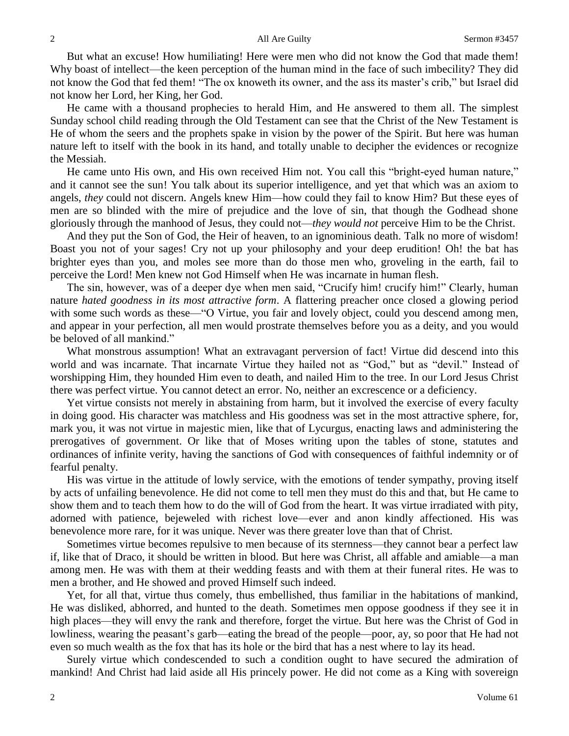But what an excuse! How humiliating! Here were men who did not know the God that made them! Why boast of intellect—the keen perception of the human mind in the face of such imbecility? They did not know the God that fed them! "The ox knoweth its owner, and the ass its master's crib," but Israel did not know her Lord, her King, her God.

He came with a thousand prophecies to herald Him, and He answered to them all. The simplest Sunday school child reading through the Old Testament can see that the Christ of the New Testament is He of whom the seers and the prophets spake in vision by the power of the Spirit. But here was human nature left to itself with the book in its hand, and totally unable to decipher the evidences or recognize the Messiah.

He came unto His own, and His own received Him not. You call this "bright-eyed human nature," and it cannot see the sun! You talk about its superior intelligence, and yet that which was an axiom to angels, *they* could not discern. Angels knew Him—how could they fail to know Him? But these eyes of men are so blinded with the mire of prejudice and the love of sin, that though the Godhead shone gloriously through the manhood of Jesus, they could not—*they would not* perceive Him to be the Christ.

And they put the Son of God, the Heir of heaven, to an ignominious death. Talk no more of wisdom! Boast you not of your sages! Cry not up your philosophy and your deep erudition! Oh! the bat has brighter eyes than you, and moles see more than do those men who, groveling in the earth, fail to perceive the Lord! Men knew not God Himself when He was incarnate in human flesh.

The sin, however, was of a deeper dye when men said, "Crucify him! crucify him!" Clearly, human nature *hated goodness in its most attractive form*. A flattering preacher once closed a glowing period with some such words as these—"O Virtue, you fair and lovely object, could you descend among men, and appear in your perfection, all men would prostrate themselves before you as a deity, and you would be beloved of all mankind."

What monstrous assumption! What an extravagant perversion of fact! Virtue did descend into this world and was incarnate. That incarnate Virtue they hailed not as "God," but as "devil." Instead of worshipping Him, they hounded Him even to death, and nailed Him to the tree. In our Lord Jesus Christ there was perfect virtue. You cannot detect an error. No, neither an excrescence or a deficiency.

Yet virtue consists not merely in abstaining from harm, but it involved the exercise of every faculty in doing good. His character was matchless and His goodness was set in the most attractive sphere, for, mark you, it was not virtue in majestic mien, like that of Lycurgus, enacting laws and administering the prerogatives of government. Or like that of Moses writing upon the tables of stone, statutes and ordinances of infinite verity, having the sanctions of God with consequences of faithful indemnity or of fearful penalty.

His was virtue in the attitude of lowly service, with the emotions of tender sympathy, proving itself by acts of unfailing benevolence. He did not come to tell men they must do this and that, but He came to show them and to teach them how to do the will of God from the heart. It was virtue irradiated with pity, adorned with patience, bejeweled with richest love—ever and anon kindly affectioned. His was benevolence more rare, for it was unique. Never was there greater love than that of Christ.

Sometimes virtue becomes repulsive to men because of its sternness—they cannot bear a perfect law if, like that of Draco, it should be written in blood. But here was Christ, all affable and amiable—a man among men. He was with them at their wedding feasts and with them at their funeral rites. He was to men a brother, and He showed and proved Himself such indeed.

Yet, for all that, virtue thus comely, thus embellished, thus familiar in the habitations of mankind, He was disliked, abhorred, and hunted to the death. Sometimes men oppose goodness if they see it in high places—they will envy the rank and therefore, forget the virtue. But here was the Christ of God in lowliness, wearing the peasant's garb—eating the bread of the people—poor, ay, so poor that He had not even so much wealth as the fox that has its hole or the bird that has a nest where to lay its head.

Surely virtue which condescended to such a condition ought to have secured the admiration of mankind! And Christ had laid aside all His princely power. He did not come as a King with sovereign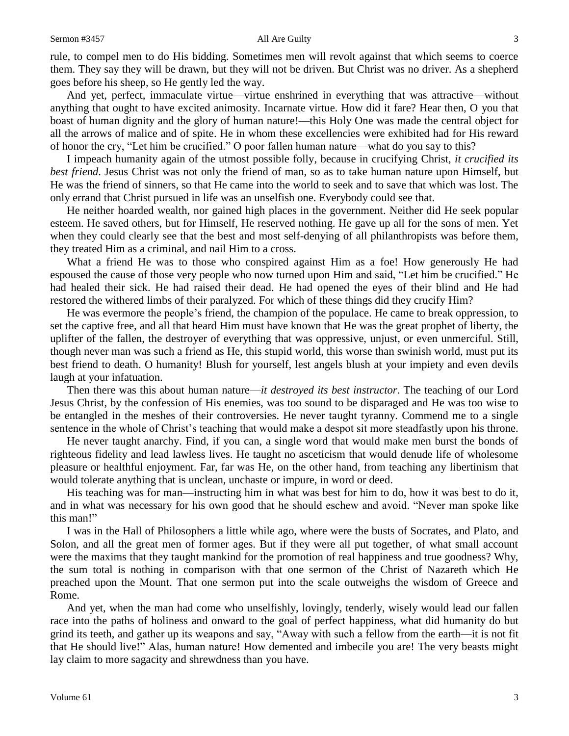### Sermon #3457 All Are Guilty 3

rule, to compel men to do His bidding. Sometimes men will revolt against that which seems to coerce them. They say they will be drawn, but they will not be driven. But Christ was no driver. As a shepherd goes before his sheep, so He gently led the way.

And yet, perfect, immaculate virtue—virtue enshrined in everything that was attractive—without anything that ought to have excited animosity. Incarnate virtue. How did it fare? Hear then, O you that boast of human dignity and the glory of human nature!—this Holy One was made the central object for all the arrows of malice and of spite. He in whom these excellencies were exhibited had for His reward of honor the cry, "Let him be crucified." O poor fallen human nature—what do you say to this?

I impeach humanity again of the utmost possible folly, because in crucifying Christ, *it crucified its best friend*. Jesus Christ was not only the friend of man, so as to take human nature upon Himself, but He was the friend of sinners, so that He came into the world to seek and to save that which was lost. The only errand that Christ pursued in life was an unselfish one. Everybody could see that.

He neither hoarded wealth, nor gained high places in the government. Neither did He seek popular esteem. He saved others, but for Himself, He reserved nothing. He gave up all for the sons of men. Yet when they could clearly see that the best and most self-denying of all philanthropists was before them, they treated Him as a criminal, and nail Him to a cross.

What a friend He was to those who conspired against Him as a foe! How generously He had espoused the cause of those very people who now turned upon Him and said, "Let him be crucified." He had healed their sick. He had raised their dead. He had opened the eyes of their blind and He had restored the withered limbs of their paralyzed. For which of these things did they crucify Him?

He was evermore the people's friend, the champion of the populace. He came to break oppression, to set the captive free, and all that heard Him must have known that He was the great prophet of liberty, the uplifter of the fallen, the destroyer of everything that was oppressive, unjust, or even unmerciful. Still, though never man was such a friend as He, this stupid world, this worse than swinish world, must put its best friend to death. O humanity! Blush for yourself, lest angels blush at your impiety and even devils laugh at your infatuation.

Then there was this about human nature—*it destroyed its best instructor*. The teaching of our Lord Jesus Christ, by the confession of His enemies, was too sound to be disparaged and He was too wise to be entangled in the meshes of their controversies. He never taught tyranny. Commend me to a single sentence in the whole of Christ's teaching that would make a despot sit more steadfastly upon his throne.

He never taught anarchy. Find, if you can, a single word that would make men burst the bonds of righteous fidelity and lead lawless lives. He taught no asceticism that would denude life of wholesome pleasure or healthful enjoyment. Far, far was He, on the other hand, from teaching any libertinism that would tolerate anything that is unclean, unchaste or impure, in word or deed.

His teaching was for man—instructing him in what was best for him to do, how it was best to do it, and in what was necessary for his own good that he should eschew and avoid. "Never man spoke like this man!"

I was in the Hall of Philosophers a little while ago, where were the busts of Socrates, and Plato, and Solon, and all the great men of former ages. But if they were all put together, of what small account were the maxims that they taught mankind for the promotion of real happiness and true goodness? Why, the sum total is nothing in comparison with that one sermon of the Christ of Nazareth which He preached upon the Mount. That one sermon put into the scale outweighs the wisdom of Greece and Rome.

And yet, when the man had come who unselfishly, lovingly, tenderly, wisely would lead our fallen race into the paths of holiness and onward to the goal of perfect happiness, what did humanity do but grind its teeth, and gather up its weapons and say, "Away with such a fellow from the earth—it is not fit that He should live!" Alas, human nature! How demented and imbecile you are! The very beasts might lay claim to more sagacity and shrewdness than you have.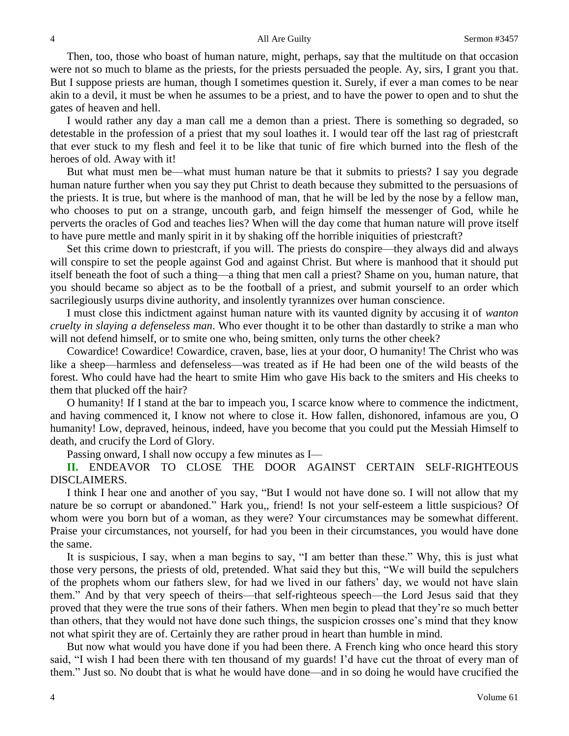Then, too, those who boast of human nature, might, perhaps, say that the multitude on that occasion were not so much to blame as the priests, for the priests persuaded the people. Ay, sirs, I grant you that. But I suppose priests are human, though I sometimes question it. Surely, if ever a man comes to be near akin to a devil, it must be when he assumes to be a priest, and to have the power to open and to shut the gates of heaven and hell.

I would rather any day a man call me a demon than a priest. There is something so degraded, so detestable in the profession of a priest that my soul loathes it. I would tear off the last rag of priestcraft that ever stuck to my flesh and feel it to be like that tunic of fire which burned into the flesh of the heroes of old. Away with it!

But what must men be—what must human nature be that it submits to priests? I say you degrade human nature further when you say they put Christ to death because they submitted to the persuasions of the priests. It is true, but where is the manhood of man, that he will be led by the nose by a fellow man, who chooses to put on a strange, uncouth garb, and feign himself the messenger of God, while he perverts the oracles of God and teaches lies? When will the day come that human nature will prove itself to have pure mettle and manly spirit in it by shaking off the horrible iniquities of priestcraft?

Set this crime down to priestcraft, if you will. The priests do conspire—they always did and always will conspire to set the people against God and against Christ. But where is manhood that it should put itself beneath the foot of such a thing—a thing that men call a priest? Shame on you, human nature, that you should became so abject as to be the football of a priest, and submit yourself to an order which sacrilegiously usurps divine authority, and insolently tyrannizes over human conscience.

I must close this indictment against human nature with its vaunted dignity by accusing it of *wanton cruelty in slaying a defenseless man*. Who ever thought it to be other than dastardly to strike a man who will not defend himself, or to smite one who, being smitten, only turns the other cheek?

Cowardice! Cowardice! Cowardice, craven, base, lies at your door, O humanity! The Christ who was like a sheep—harmless and defenseless—was treated as if He had been one of the wild beasts of the forest. Who could have had the heart to smite Him who gave His back to the smiters and His cheeks to them that plucked off the hair?

O humanity! If I stand at the bar to impeach you, I scarce know where to commence the indictment, and having commenced it, I know not where to close it. How fallen, dishonored, infamous are you, O humanity! Low, depraved, heinous, indeed, have you become that you could put the Messiah Himself to death, and crucify the Lord of Glory.

Passing onward, I shall now occupy a few minutes as I—

**II.** ENDEAVOR TO CLOSE THE DOOR AGAINST CERTAIN SELF-RIGHTEOUS DISCLAIMERS.

I think I hear one and another of you say, "But I would not have done so. I will not allow that my nature be so corrupt or abandoned." Hark you,, friend! Is not your self-esteem a little suspicious? Of whom were you born but of a woman, as they were? Your circumstances may be somewhat different. Praise your circumstances, not yourself, for had you been in their circumstances, you would have done the same.

It is suspicious, I say, when a man begins to say, "I am better than these." Why, this is just what those very persons, the priests of old, pretended. What said they but this, "We will build the sepulchers of the prophets whom our fathers slew, for had we lived in our fathers' day, we would not have slain them." And by that very speech of theirs—that self-righteous speech—the Lord Jesus said that they proved that they were the true sons of their fathers. When men begin to plead that they're so much better than others, that they would not have done such things, the suspicion crosses one's mind that they know not what spirit they are of. Certainly they are rather proud in heart than humble in mind.

But now what would you have done if you had been there. A French king who once heard this story said, "I wish I had been there with ten thousand of my guards! I'd have cut the throat of every man of them." Just so. No doubt that is what he would have done—and in so doing he would have crucified the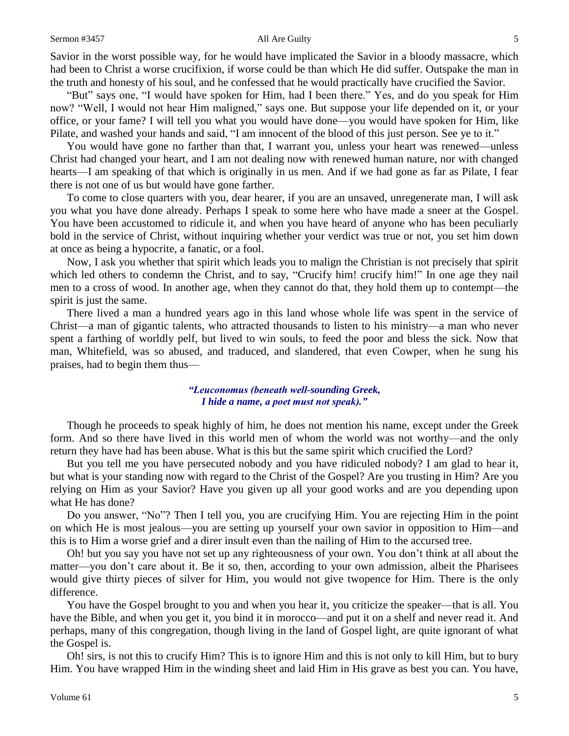### Sermon #3457 All Are Guilty 5

Savior in the worst possible way, for he would have implicated the Savior in a bloody massacre, which had been to Christ a worse crucifixion, if worse could be than which He did suffer. Outspake the man in the truth and honesty of his soul, and he confessed that he would practically have crucified the Savior.

"But" says one, "I would have spoken for Him, had I been there." Yes, and do you speak for Him now? "Well, I would not hear Him maligned," says one. But suppose your life depended on it, or your office, or your fame? I will tell you what you would have done—you would have spoken for Him, like Pilate, and washed your hands and said, "I am innocent of the blood of this just person. See ye to it."

You would have gone no farther than that, I warrant you, unless your heart was renewed—unless Christ had changed your heart, and I am not dealing now with renewed human nature, nor with changed hearts—I am speaking of that which is originally in us men. And if we had gone as far as Pilate, I fear there is not one of us but would have gone farther.

To come to close quarters with you, dear hearer, if you are an unsaved, unregenerate man, I will ask you what you have done already. Perhaps I speak to some here who have made a sneer at the Gospel. You have been accustomed to ridicule it, and when you have heard of anyone who has been peculiarly bold in the service of Christ, without inquiring whether your verdict was true or not, you set him down at once as being a hypocrite, a fanatic, or a fool.

Now, I ask you whether that spirit which leads you to malign the Christian is not precisely that spirit which led others to condemn the Christ, and to say, "Crucify him! crucify him!" In one age they nail men to a cross of wood. In another age, when they cannot do that, they hold them up to contempt—the spirit is just the same.

There lived a man a hundred years ago in this land whose whole life was spent in the service of Christ—a man of gigantic talents, who attracted thousands to listen to his ministry—a man who never spent a farthing of worldly pelf, but lived to win souls, to feed the poor and bless the sick. Now that man, Whitefield, was so abused, and traduced, and slandered, that even Cowper, when he sung his praises, had to begin them thus—

### *"Leuconomus (beneath well-sounding Greek, I hide a name, a poet must not speak)."*

Though he proceeds to speak highly of him, he does not mention his name, except under the Greek form. And so there have lived in this world men of whom the world was not worthy—and the only return they have had has been abuse. What is this but the same spirit which crucified the Lord?

But you tell me you have persecuted nobody and you have ridiculed nobody? I am glad to hear it, but what is your standing now with regard to the Christ of the Gospel? Are you trusting in Him? Are you relying on Him as your Savior? Have you given up all your good works and are you depending upon what He has done?

Do you answer, "No"? Then I tell you, you are crucifying Him. You are rejecting Him in the point on which He is most jealous—you are setting up yourself your own savior in opposition to Him—and this is to Him a worse grief and a direr insult even than the nailing of Him to the accursed tree.

Oh! but you say you have not set up any righteousness of your own. You don't think at all about the matter—you don't care about it. Be it so, then, according to your own admission, albeit the Pharisees would give thirty pieces of silver for Him, you would not give twopence for Him. There is the only difference.

You have the Gospel brought to you and when you hear it, you criticize the speaker—that is all. You have the Bible, and when you get it, you bind it in morocco—and put it on a shelf and never read it. And perhaps, many of this congregation, though living in the land of Gospel light, are quite ignorant of what the Gospel is.

Oh! sirs, is not this to crucify Him? This is to ignore Him and this is not only to kill Him, but to bury Him. You have wrapped Him in the winding sheet and laid Him in His grave as best you can. You have,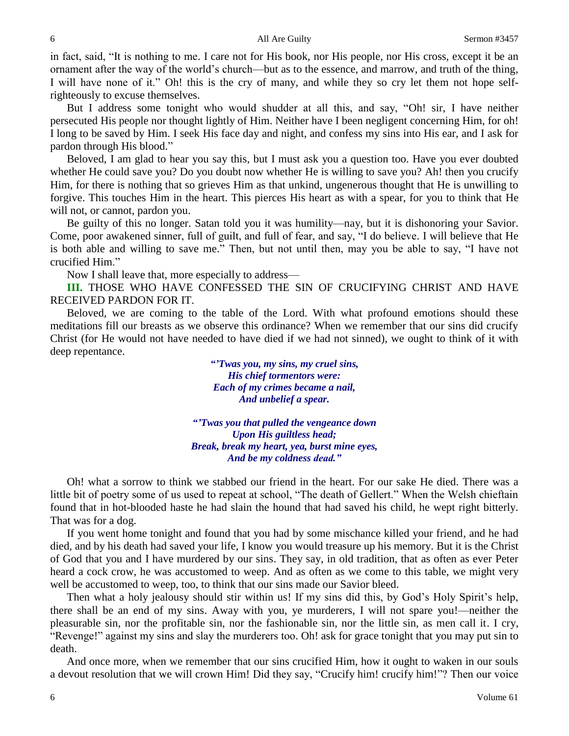in fact, said, "It is nothing to me. I care not for His book, nor His people, nor His cross, except it be an ornament after the way of the world's church—but as to the essence, and marrow, and truth of the thing, I will have none of it." Oh! this is the cry of many, and while they so cry let them not hope selfrighteously to excuse themselves.

But I address some tonight who would shudder at all this, and say, "Oh! sir, I have neither persecuted His people nor thought lightly of Him. Neither have I been negligent concerning Him, for oh! I long to be saved by Him. I seek His face day and night, and confess my sins into His ear, and I ask for pardon through His blood."

Beloved, I am glad to hear you say this, but I must ask you a question too. Have you ever doubted whether He could save you? Do you doubt now whether He is willing to save you? Ah! then you crucify Him, for there is nothing that so grieves Him as that unkind, ungenerous thought that He is unwilling to forgive. This touches Him in the heart. This pierces His heart as with a spear, for you to think that He will not, or cannot, pardon you.

Be guilty of this no longer. Satan told you it was humility—nay, but it is dishonoring your Savior. Come, poor awakened sinner, full of guilt, and full of fear, and say, "I do believe. I will believe that He is both able and willing to save me." Then, but not until then, may you be able to say, "I have not crucified Him."

Now I shall leave that, more especially to address—

**III.** THOSE WHO HAVE CONFESSED THE SIN OF CRUCIFYING CHRIST AND HAVE RECEIVED PARDON FOR IT.

Beloved, we are coming to the table of the Lord. With what profound emotions should these meditations fill our breasts as we observe this ordinance? When we remember that our sins did crucify Christ (for He would not have needed to have died if we had not sinned), we ought to think of it with deep repentance.

> *"'Twas you, my sins, my cruel sins, His chief tormentors were: Each of my crimes became a nail, And unbelief a spear.*

*"'Twas you that pulled the vengeance down Upon His guiltless head; Break, break my heart, yea, burst mine eyes, And be my coldness dead."*

Oh! what a sorrow to think we stabbed our friend in the heart. For our sake He died. There was a little bit of poetry some of us used to repeat at school, "The death of Gellert." When the Welsh chieftain found that in hot-blooded haste he had slain the hound that had saved his child, he wept right bitterly. That was for a dog.

If you went home tonight and found that you had by some mischance killed your friend, and he had died, and by his death had saved your life, I know you would treasure up his memory. But it is the Christ of God that you and I have murdered by our sins. They say, in old tradition, that as often as ever Peter heard a cock crow, he was accustomed to weep. And as often as we come to this table, we might very well be accustomed to weep, too, to think that our sins made our Savior bleed.

Then what a holy jealousy should stir within us! If my sins did this, by God's Holy Spirit's help, there shall be an end of my sins. Away with you, ye murderers, I will not spare you!—neither the pleasurable sin, nor the profitable sin, nor the fashionable sin, nor the little sin, as men call it. I cry, "Revenge!" against my sins and slay the murderers too. Oh! ask for grace tonight that you may put sin to death.

And once more, when we remember that our sins crucified Him, how it ought to waken in our souls a devout resolution that we will crown Him! Did they say, "Crucify him! crucify him!"? Then our voice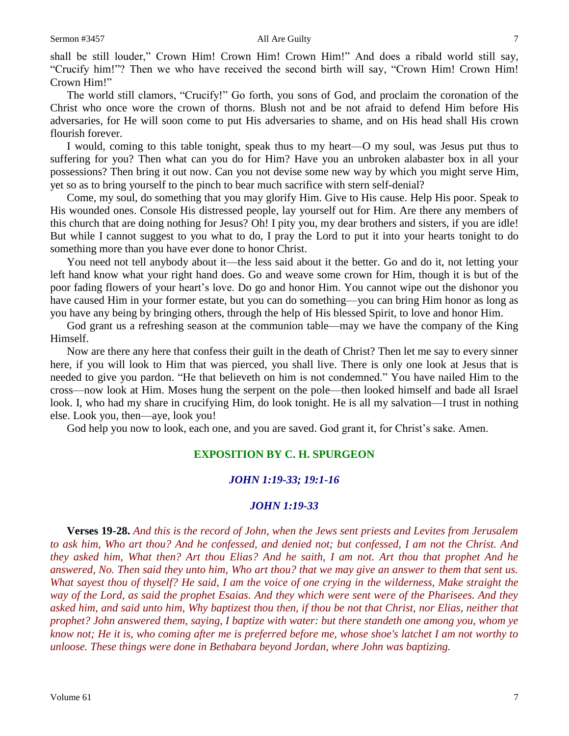shall be still louder," Crown Him! Crown Him! Crown Him!" And does a ribald world still say, "Crucify him!"? Then we who have received the second birth will say, "Crown Him! Crown Him! Crown Him!"

The world still clamors, "Crucify!" Go forth, you sons of God, and proclaim the coronation of the Christ who once wore the crown of thorns. Blush not and be not afraid to defend Him before His adversaries, for He will soon come to put His adversaries to shame, and on His head shall His crown flourish forever.

I would, coming to this table tonight, speak thus to my heart—O my soul, was Jesus put thus to suffering for you? Then what can you do for Him? Have you an unbroken alabaster box in all your possessions? Then bring it out now. Can you not devise some new way by which you might serve Him, yet so as to bring yourself to the pinch to bear much sacrifice with stern self-denial?

Come, my soul, do something that you may glorify Him. Give to His cause. Help His poor. Speak to His wounded ones. Console His distressed people, lay yourself out for Him. Are there any members of this church that are doing nothing for Jesus? Oh! I pity you, my dear brothers and sisters, if you are idle! But while I cannot suggest to you what to do, I pray the Lord to put it into your hearts tonight to do something more than you have ever done to honor Christ.

You need not tell anybody about it—the less said about it the better. Go and do it, not letting your left hand know what your right hand does. Go and weave some crown for Him, though it is but of the poor fading flowers of your heart's love. Do go and honor Him. You cannot wipe out the dishonor you have caused Him in your former estate, but you can do something—you can bring Him honor as long as you have any being by bringing others, through the help of His blessed Spirit, to love and honor Him.

God grant us a refreshing season at the communion table—may we have the company of the King Himself.

Now are there any here that confess their guilt in the death of Christ? Then let me say to every sinner here, if you will look to Him that was pierced, you shall live. There is only one look at Jesus that is needed to give you pardon. "He that believeth on him is not condemned." You have nailed Him to the cross—now look at Him. Moses hung the serpent on the pole—then looked himself and bade all Israel look. I, who had my share in crucifying Him, do look tonight. He is all my salvation—I trust in nothing else. Look you, then—aye, look you!

God help you now to look, each one, and you are saved. God grant it, for Christ's sake. Amen.

### **EXPOSITION BY C. H. SPURGEON**

### *JOHN 1:19-33; 19:1-16*

### *JOHN 1:19-33*

**Verses 19-28.** *And this is the record of John, when the Jews sent priests and Levites from Jerusalem to ask him, Who art thou? And he confessed, and denied not; but confessed, I am not the Christ. And they asked him, What then? Art thou Elias? And he saith, I am not. Art thou that prophet And he answered, No. Then said they unto him, Who art thou? that we may give an answer to them that sent us. What sayest thou of thyself? He said, I am the voice of one crying in the wilderness, Make straight the way of the Lord, as said the prophet Esaias. And they which were sent were of the Pharisees. And they asked him, and said unto him, Why baptizest thou then, if thou be not that Christ, nor Elias, neither that prophet? John answered them, saying, I baptize with water: but there standeth one among you, whom ye know not; He it is, who coming after me is preferred before me, whose shoe's latchet I am not worthy to unloose. These things were done in Bethabara beyond Jordan, where John was baptizing.*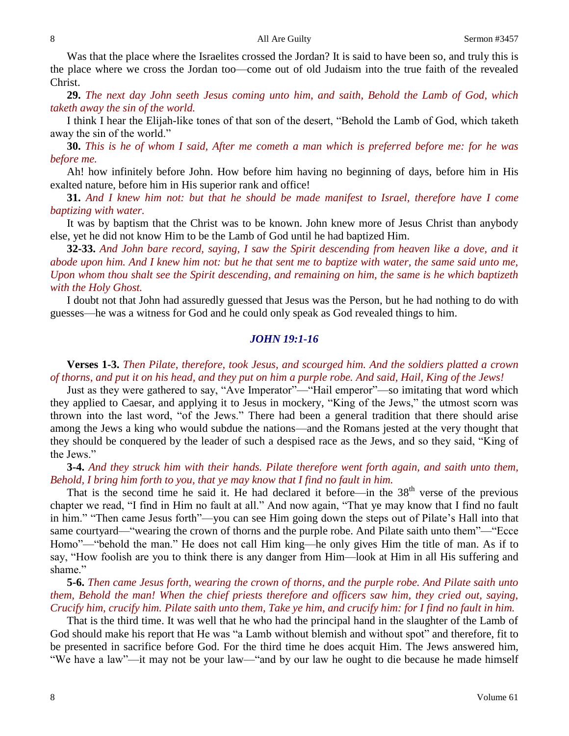Was that the place where the Israelites crossed the Jordan? It is said to have been so, and truly this is the place where we cross the Jordan too—come out of old Judaism into the true faith of the revealed Christ.

**29.** *The next day John seeth Jesus coming unto him, and saith, Behold the Lamb of God, which taketh away the sin of the world.* 

I think I hear the Elijah-like tones of that son of the desert, "Behold the Lamb of God, which taketh away the sin of the world."

**30.** *This is he of whom I said, After me cometh a man which is preferred before me: for he was before me.* 

Ah! how infinitely before John. How before him having no beginning of days, before him in His exalted nature, before him in His superior rank and office!

**31.** *And I knew him not: but that he should be made manifest to Israel, therefore have I come baptizing with water.* 

It was by baptism that the Christ was to be known. John knew more of Jesus Christ than anybody else, yet he did not know Him to be the Lamb of God until he had baptized Him.

**32-33.** *And John bare record, saying, I saw the Spirit descending from heaven like a dove, and it abode upon him. And I knew him not: but he that sent me to baptize with water, the same said unto me, Upon whom thou shalt see the Spirit descending, and remaining on him, the same is he which baptizeth with the Holy Ghost.*

I doubt not that John had assuredly guessed that Jesus was the Person, but he had nothing to do with guesses—he was a witness for God and he could only speak as God revealed things to him.

### *JOHN 19:1-16*

**Verses 1-3.** *Then Pilate, therefore, took Jesus, and scourged him. And the soldiers platted a crown of thorns, and put it on his head, and they put on him a purple robe. And said, Hail, King of the Jews!*

Just as they were gathered to say, "Ave Imperator"—"Hail emperor"—so imitating that word which they applied to Caesar, and applying it to Jesus in mockery, "King of the Jews," the utmost scorn was thrown into the last word, "of the Jews." There had been a general tradition that there should arise among the Jews a king who would subdue the nations—and the Romans jested at the very thought that they should be conquered by the leader of such a despised race as the Jews, and so they said, "King of the Jews."

**3-4.** *And they struck him with their hands. Pilate therefore went forth again, and saith unto them, Behold, I bring him forth to you, that ye may know that I find no fault in him.* 

That is the second time he said it. He had declared it before—in the  $38<sup>th</sup>$  verse of the previous chapter we read, "I find in Him no fault at all." And now again, "That ye may know that I find no fault in him." "Then came Jesus forth"—you can see Him going down the steps out of Pilate's Hall into that same courtyard—"wearing the crown of thorns and the purple robe. And Pilate saith unto them"—"Ecce Homo"—"behold the man." He does not call Him king—he only gives Him the title of man. As if to say, "How foolish are you to think there is any danger from Him—look at Him in all His suffering and shame."

**5-6.** *Then came Jesus forth, wearing the crown of thorns, and the purple robe. And Pilate saith unto them, Behold the man! When the chief priests therefore and officers saw him, they cried out, saying, Crucify him, crucify him. Pilate saith unto them, Take ye him, and crucify him: for I find no fault in him.*

That is the third time. It was well that he who had the principal hand in the slaughter of the Lamb of God should make his report that He was "a Lamb without blemish and without spot" and therefore, fit to be presented in sacrifice before God. For the third time he does acquit Him. The Jews answered him, "We have a law"—it may not be your law—"and by our law he ought to die because he made himself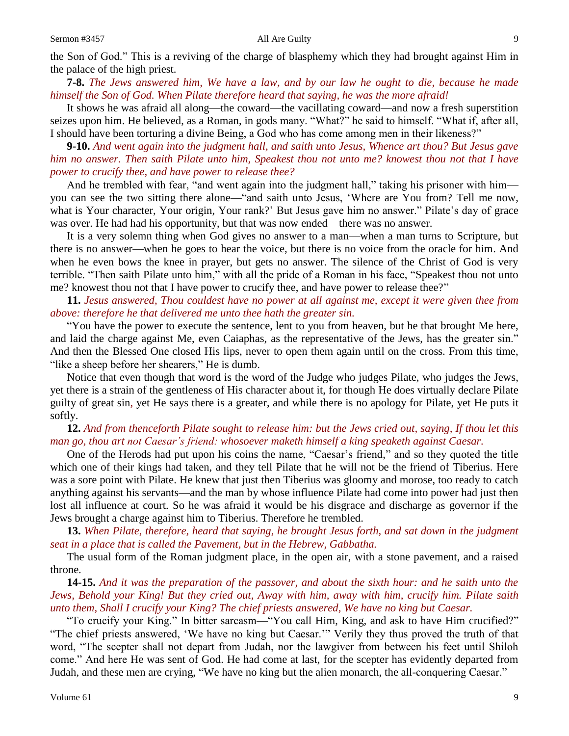the Son of God." This is a reviving of the charge of blasphemy which they had brought against Him in the palace of the high priest.

**7-8.** *The Jews answered him, We have a law, and by our law he ought to die, because he made himself the Son of God. When Pilate therefore heard that saying, he was the more afraid!*

It shows he was afraid all along—the coward—the vacillating coward—and now a fresh superstition seizes upon him. He believed, as a Roman, in gods many. "What?" he said to himself. "What if, after all, I should have been torturing a divine Being, a God who has come among men in their likeness?"

**9-10.** *And went again into the judgment hall, and saith unto Jesus, Whence art thou? But Jesus gave him no answer. Then saith Pilate unto him, Speakest thou not unto me? knowest thou not that I have power to crucify thee, and have power to release thee?*

And he trembled with fear, "and went again into the judgment hall," taking his prisoner with him you can see the two sitting there alone—"and saith unto Jesus, 'Where are You from? Tell me now, what is Your character, Your origin, Your rank?' But Jesus gave him no answer." Pilate's day of grace was over. He had had his opportunity, but that was now ended—there was no answer.

It is a very solemn thing when God gives no answer to a man—when a man turns to Scripture, but there is no answer—when he goes to hear the voice, but there is no voice from the oracle for him. And when he even bows the knee in prayer, but gets no answer. The silence of the Christ of God is very terrible. "Then saith Pilate unto him," with all the pride of a Roman in his face, "Speakest thou not unto me? knowest thou not that I have power to crucify thee, and have power to release thee?"

### **11.** *Jesus answered, Thou couldest have no power at all against me, except it were given thee from above: therefore he that delivered me unto thee hath the greater sin.*

"You have the power to execute the sentence, lent to you from heaven, but he that brought Me here, and laid the charge against Me, even Caiaphas, as the representative of the Jews, has the greater sin." And then the Blessed One closed His lips, never to open them again until on the cross. From this time, "like a sheep before her shearers," He is dumb.

Notice that even though that word is the word of the Judge who judges Pilate, who judges the Jews, yet there is a strain of the gentleness of His character about it, for though He does virtually declare Pilate guilty of great sin*,* yet He says there is a greater, and while there is no apology for Pilate, yet He puts it softly.

## **12.** *And from thenceforth Pilate sought to release him: but the Jews cried out, saying, If thou let this man go, thou art not Caesar's friend: whosoever maketh himself a king speaketh against Caesar.*

One of the Herods had put upon his coins the name, "Caesar's friend," and so they quoted the title which one of their kings had taken, and they tell Pilate that he will not be the friend of Tiberius. Here was a sore point with Pilate. He knew that just then Tiberius was gloomy and morose, too ready to catch anything against his servants—and the man by whose influence Pilate had come into power had just then lost all influence at court. So he was afraid it would be his disgrace and discharge as governor if the Jews brought a charge against him to Tiberius. Therefore he trembled.

**13.** *When Pilate, therefore, heard that saying, he brought Jesus forth, and sat down in the judgment seat in a place that is called the Pavement, but in the Hebrew, Gabbatha.* 

The usual form of the Roman judgment place, in the open air, with a stone pavement, and a raised throne.

**14-15.** *And it was the preparation of the passover, and about the sixth hour: and he saith unto the Jews, Behold your King! But they cried out, Away with him, away with him, crucify him. Pilate saith unto them, Shall I crucify your King? The chief priests answered, We have no king but Caesar.*

"To crucify your King." In bitter sarcasm—"You call Him, King, and ask to have Him crucified?" "The chief priests answered, 'We have no king but Caesar.'" Verily they thus proved the truth of that word, "The scepter shall not depart from Judah, nor the lawgiver from between his feet until Shiloh come." And here He was sent of God. He had come at last, for the scepter has evidently departed from Judah, and these men are crying, "We have no king but the alien monarch, the all-conquering Caesar."